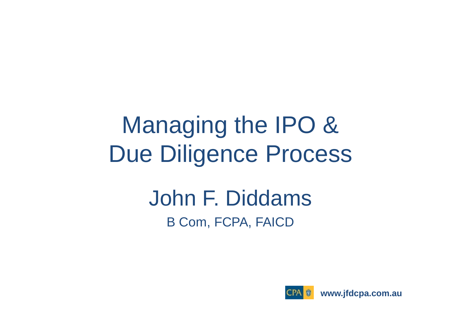## Managing the IPO & Due Diligence Process

### John F. Diddams B Com, FCPA, FAICD



**www.jfdcpa.com.au**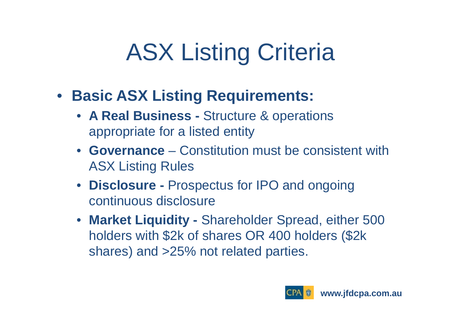# ASX Listing Criteria

- **Basic ASX Listing Requirements:** 
	- **A Real Business -** Structure & operations appropriate for a listed entity
	- **Governance**  Constitution must be consistent with ASX Listing Rules
	- **Disclosure -** Prospectus for IPO and ongoing continuous disclosure
	- **Market Liquidity -** Shareholder Spread, either 500 holders with \$2k of shares OR 400 holders (\$2k shares) and >25% not related parties.

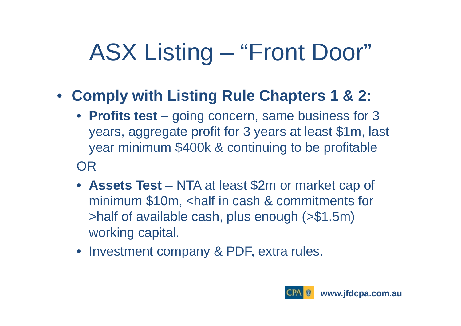# ASX Listing – "Front Door"

- **Comply with Listing Rule Chapters 1 & 2:**
	- **Profits test**  going concern, same business for 3 years, aggregate profit for 3 years at least \$1m, last year minimum \$400k & continuing to be profitable OR
	- **Assets Test**  NTA at least \$2m or market cap of minimum \$10m, <half in cash & commitments for >half of available cash, plus enough (>\$1.5m) working capital.
	- Investment company & PDF, extra rules.

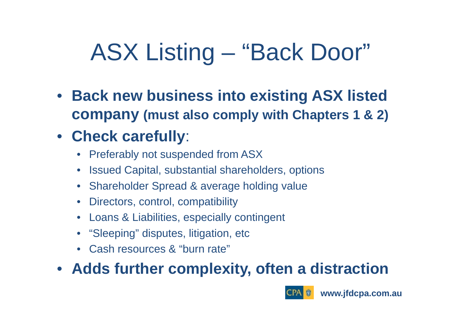# ASX Listing – "Back Door"

• **Back new business into existing ASX listed company (must also comply with Chapters 1 & 2)**

### • **Check carefully**:

- •Preferably not suspended from ASX
- $\bullet$ Issued Capital, substantial shareholders, options
- $\bullet$ Shareholder Spread & average holding value
- $\bullet$ Directors, control, compatibility
- $\bullet$ Loans & Liabilities, especially contingent
- •"Sleeping" disputes, litigation, etc
- •Cash resources & "burn rate"

### • **Adds further complexity, often a distraction**

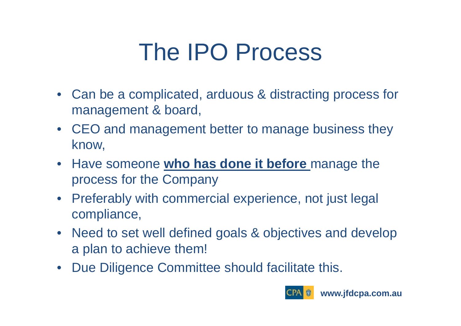## The IPO Process

- Can be a complicated, arduous & distracting process for management & board,
- CEO and management better to manage business they know,
- Have someone **who has done it before** manage the process for the Company
- Preferably with commercial experience, not just legal compliance,
- Need to set well defined goals & objectives and develop a plan to achieve them!
- •Due Diligence Committee should facilitate this.

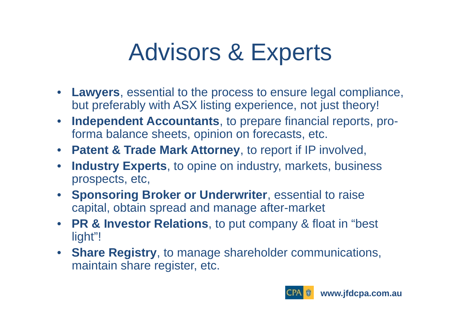## Advisors & Experts

- **Lawyers**, essential to the process to ensure legal compliance, but preferably with ASX listing experience, not just theory!
- $\bullet$  **Independent Accountants**, to prepare financial reports, proforma balance sheets, opinion on forecasts, etc.
- **Patent & Trade Mark Attorney**, to report if IP involved,
- $\bullet$  **Industry Experts**, to opine on industry, markets, business prospects, etc,
- **Sponsoring Broker or Underwriter**, essential to raise capital, obtain spread and manage after-market
- **PR & Investor Relations**, to put company & float in "best light"!
- **Share Registry**, to manage shareholder communications, maintain share register, etc.

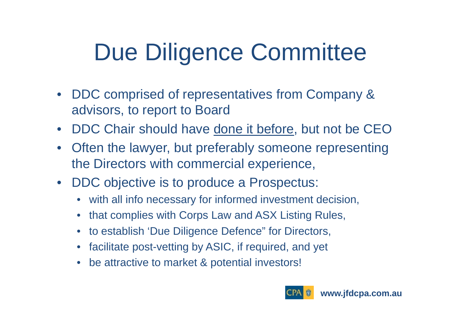# Due Diligence Committee

- DDC comprised of representatives from Company & advisors, to report to Board
- $\bullet$ DDC Chair should have done it before, but not be CEO
- • Often the lawyer, but preferably someone representing the Directors with commercial experience,
- DDC objective is to produce a Prospectus:
	- $\bullet$ with all info necessary for informed investment decision,
	- $\bullet$ that complies with Corps Law and ASX Listing Rules,
	- $\bullet$ to establish 'Due Diligence Defence" for Directors,
	- $\bullet$ facilitate post-vetting by ASIC, if required, and yet
	- $\bullet$ be attractive to market & potential investors!

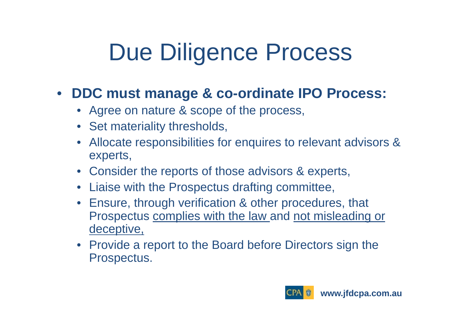## Due Diligence Process

#### $\bullet$ **DDC must manage & co-ordinate IPO Process:**

- Agree on nature & scope of the process,
- Set materiality thresholds,
- $\bullet$  Allocate responsibilities for enquires to relevant advisors & experts,
- Consider the reports of those advisors & experts,
- Liaise with the Prospectus drafting committee,
- Ensure, through verification & other procedures, that Prospectus complies with the law and not misleading or deceptive,
- Provide a report to the Board before Directors sign the Prospectus.

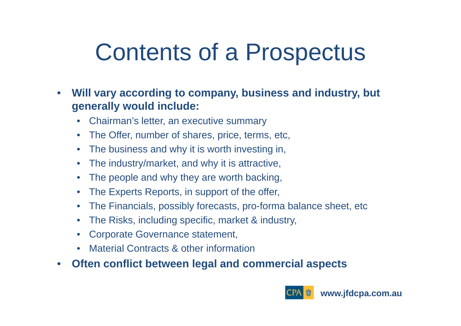## Contents of a Prospectus

- $\bullet$  **Will vary according to company, business and industry, but generally would include:**
	- $\bullet$ Chairman's letter, an executive summary
	- $\bullet$ The Offer, number of shares, price, terms, etc,
	- $\bullet$ The business and why it is worth investing in,
	- $\bullet$ The industry/market, and why it is attractive,
	- $\bullet$ The people and why they are worth backing,
	- $\bullet$ The Experts Reports, in support of the offer,
	- $\bullet$ The Financials, possibly forecasts, pro-forma balance sheet, etc
	- $\bullet$ The Risks, including specific, market & industry,
	- $\bullet$ Corporate Governance statement,
	- •Material Contracts & other information
- •**Often conflict between legal and commercial aspects**

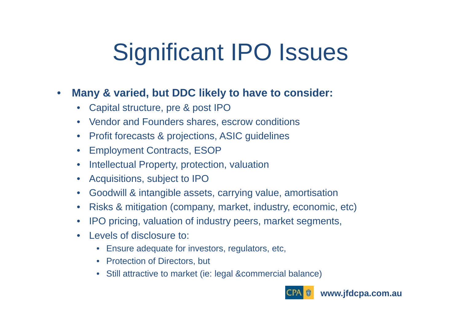# Significant IPO Issues

#### $\bullet$ **Many & varied, but DDC likely to have to consider:**

- •Capital structure, pre & post IPO
- Vendor and Founders shares, escrow conditions
- $\bullet$ Profit forecasts & projections, ASIC guidelines
- $\bullet$ Employment Contracts, ESOP
- $\bullet$ Intellectual Property, protection, valuation
- $\bullet$ Acquisitions, subject to IPO
- $\bullet$ Goodwill & intangible assets, carrying value, amortisation
- $\bullet$ Risks & mitigation (company, market, industry, economic, etc)
- $\bullet$ IPO pricing, valuation of industry peers, market segments,
- $\bullet$  Levels of disclosure to:
	- Ensure adequate for investors, regulators, etc,
	- Protection of Directors, but
	- Still attractive to market (ie: legal &commercial balance)

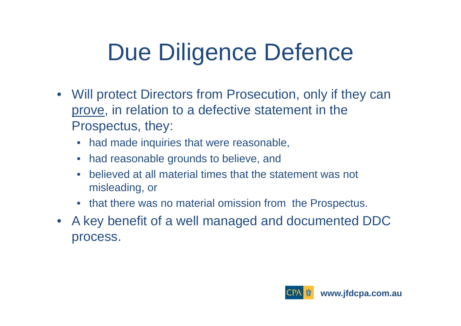# Due Diligence Defence

- Will protect Directors from Prosecution, only if they can prove, in relation to a defective statement in the Prospectus, they:
	- •had made inquiries that were reasonable,
	- $\bullet$ had reasonable grounds to believe, and
	- $\bullet$  believed at all material times that the statement was not misleading, or
	- that there was no material omission from the Prospectus.
- A key benefit of a well managed and documented DDC process.

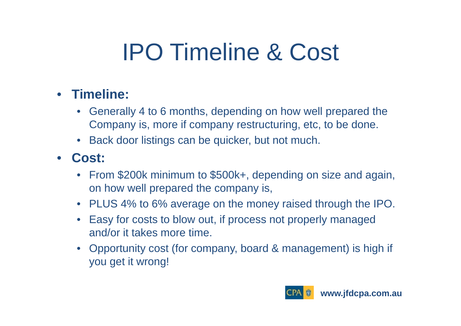# IPO Timeline & Cost

### • **Timeline:**

- • Generally 4 to 6 months, depending on how well prepared the Company is, more if company restructuring, etc, to be done.
- Back door listings can be quicker, but not much.

#### •**Cost:**

- From \$200k minimum to \$500k+, depending on size and again, on how well prepared the company is,
- PLUS 4% to 6% average on the money raised through the IPO.
- $\bullet$  Easy for costs to blow out, if process not properly managed and/or it takes more time.
- Opportunity cost (for company, board & management) is high if you get it wrong!

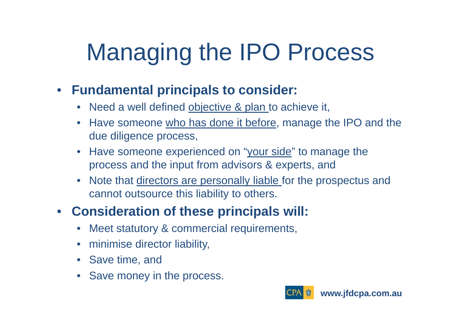# Managing the IPO Process

#### $\bullet$ **Fundamental principals to consider:**

- •Need a well defined objective & plan to achieve it,
- $\bullet$ Have someone who has done it before, manage the IPO and the due diligence process,
- $\bullet$ Have someone experienced on "your side" to manage the process and the input from advisors & experts, and
- $\bullet$ Note that directors are personally liable for the prospectus and cannot outsource this liability to others.

#### •**Consideration of these principals will:**

- •Meet statutory & commercial requirements,
- $\bullet$ minimise director liability,
- Save time, and
- •Save money in the process.